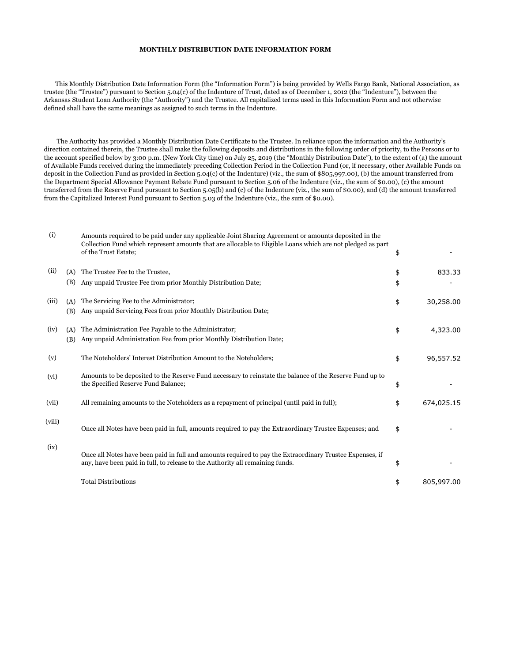## **MONTHLY DISTRIBUTION DATE INFORMATION FORM**

 This Monthly Distribution Date Information Form (the "Information Form") is being provided by Wells Fargo Bank, National Association, as trustee (the "Trustee") pursuant to Section 5.04(c) of the Indenture of Trust, dated as of December 1, 2012 (the "Indenture"), between the Arkansas Student Loan Authority (the "Authority") and the Trustee. All capitalized terms used in this Information Form and not otherwise defined shall have the same meanings as assigned to such terms in the Indenture.

 The Authority has provided a Monthly Distribution Date Certificate to the Trustee. In reliance upon the information and the Authority's direction contained therein, the Trustee shall make the following deposits and distributions in the following order of priority, to the Persons or to the account specified below by 3:00 p.m. (New York City time) on July 25, 2019 (the "Monthly Distribution Date"), to the extent of (a) the amount of Available Funds received during the immediately preceding Collection Period in the Collection Fund (or, if necessary, other Available Funds on deposit in the Collection Fund as provided in Section 5.04(c) of the Indenture) (viz., the sum of \$805,997.00), (b) the amount transferred from the Department Special Allowance Payment Rebate Fund pursuant to Section 5.06 of the Indenture (viz., the sum of \$0.00), (c) the amount transferred from the Reserve Fund pursuant to Section 5.05(b) and (c) of the Indenture (viz., the sum of \$0.00), and (d) the amount transferred from the Capitalized Interest Fund pursuant to Section 5.03 of the Indenture (viz., the sum of \$0.00).

| (i)    |            | Amounts required to be paid under any applicable Joint Sharing Agreement or amounts deposited in the<br>Collection Fund which represent amounts that are allocable to Eligible Loans which are not pledged as part<br>of the Trust Estate; | \$       |            |
|--------|------------|--------------------------------------------------------------------------------------------------------------------------------------------------------------------------------------------------------------------------------------------|----------|------------|
| (ii)   | (A)<br>(B) | The Trustee Fee to the Trustee,<br>Any unpaid Trustee Fee from prior Monthly Distribution Date;                                                                                                                                            | \$<br>\$ | 833.33     |
| (iii)  | (A)<br>(B) | The Servicing Fee to the Administrator;<br>Any unpaid Servicing Fees from prior Monthly Distribution Date;                                                                                                                                 | \$       | 30,258.00  |
| (iv)   | (A)<br>(B) | The Administration Fee Payable to the Administrator;<br>Any unpaid Administration Fee from prior Monthly Distribution Date;                                                                                                                | \$       | 4,323.00   |
| (v)    |            | The Noteholders' Interest Distribution Amount to the Noteholders;                                                                                                                                                                          | \$       | 96,557.52  |
| (vi)   |            | Amounts to be deposited to the Reserve Fund necessary to reinstate the balance of the Reserve Fund up to<br>the Specified Reserve Fund Balance;                                                                                            | \$       |            |
| (vii)  |            | All remaining amounts to the Noteholders as a repayment of principal (until paid in full);                                                                                                                                                 | \$       | 674,025.15 |
| (viii) |            | Once all Notes have been paid in full, amounts required to pay the Extraordinary Trustee Expenses; and                                                                                                                                     | \$       |            |
| (ix)   |            | Once all Notes have been paid in full and amounts required to pay the Extraordinary Trustee Expenses, if<br>any, have been paid in full, to release to the Authority all remaining funds.                                                  | \$       |            |
|        |            | <b>Total Distributions</b>                                                                                                                                                                                                                 | \$       | 805,997.00 |